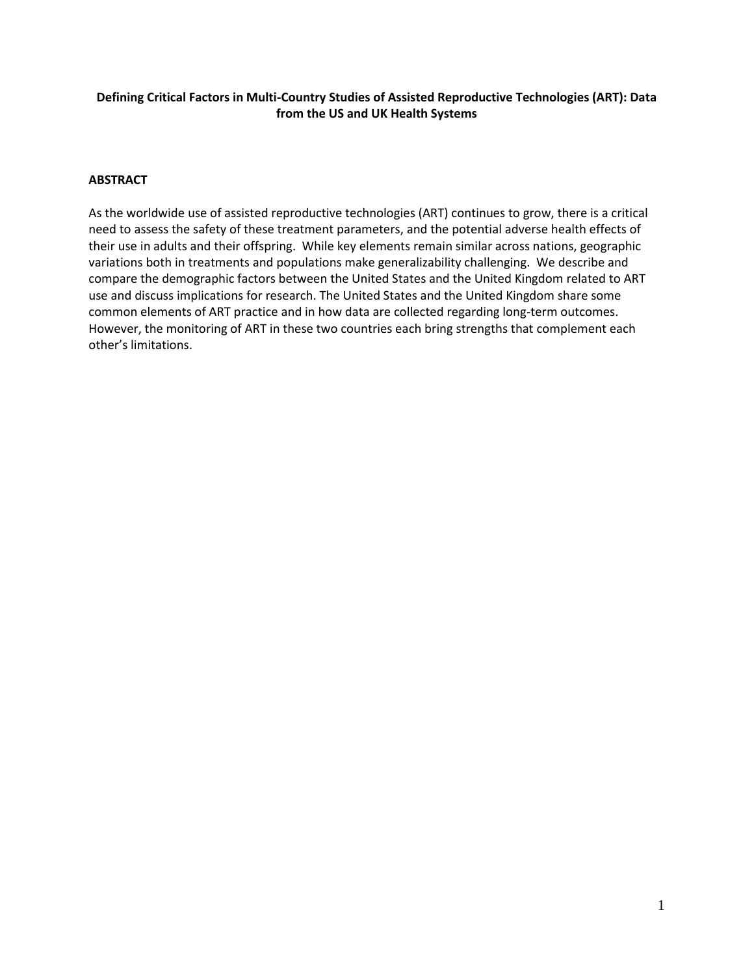## **Defining Critical Factors in Multi-Country Studies of Assisted Reproductive Technologies (ART): Data from the US and UK Health Systems**

### **ABSTRACT**

As the worldwide use of assisted reproductive technologies (ART) continues to grow, there is a critical need to assess the safety of these treatment parameters, and the potential adverse health effects of their use in adults and their offspring. While key elements remain similar across nations, geographic variations both in treatments and populations make generalizability challenging. We describe and compare the demographic factors between the United States and the United Kingdom related to ART use and discuss implications for research. The United States and the United Kingdom share some common elements of ART practice and in how data are collected regarding long-term outcomes. However, the monitoring of ART in these two countries each bring strengths that complement each other's limitations.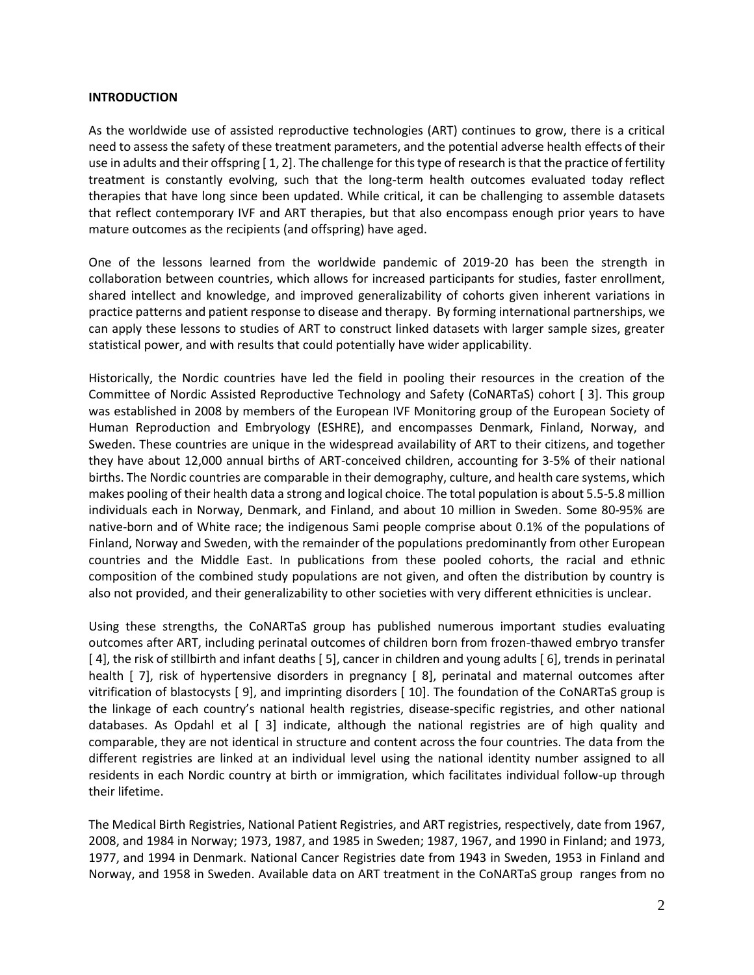#### **INTRODUCTION**

As the worldwide use of assisted reproductive technologies (ART) continues to grow, there is a critical need to assess the safety of these treatment parameters, and the potential adverse health effects of their use in adults and their offspring [ 1, 2]. The challenge for this type of research is that the practice of fertility treatment is constantly evolving, such that the long-term health outcomes evaluated today reflect therapies that have long since been updated. While critical, it can be challenging to assemble datasets that reflect contemporary IVF and ART therapies, but that also encompass enough prior years to have mature outcomes as the recipients (and offspring) have aged.

One of the lessons learned from the worldwide pandemic of 2019-20 has been the strength in collaboration between countries, which allows for increased participants for studies, faster enrollment, shared intellect and knowledge, and improved generalizability of cohorts given inherent variations in practice patterns and patient response to disease and therapy. By forming international partnerships, we can apply these lessons to studies of ART to construct linked datasets with larger sample sizes, greater statistical power, and with results that could potentially have wider applicability.

Historically, the Nordic countries have led the field in pooling their resources in the creation of the Committee of Nordic Assisted Reproductive Technology and Safety (CoNARTaS) cohort [ 3]. This group was established in 2008 by members of the European IVF Monitoring group of the European Society of Human Reproduction and Embryology (ESHRE), and encompasses Denmark, Finland, Norway, and Sweden. These countries are unique in the widespread availability of ART to their citizens, and together they have about 12,000 annual births of ART-conceived children, accounting for 3-5% of their national births. The Nordic countries are comparable in their demography, culture, and health care systems, which makes pooling of their health data a strong and logical choice. The total population is about 5.5-5.8 million individuals each in Norway, Denmark, and Finland, and about 10 million in Sweden. Some 80-95% are native-born and of White race; the indigenous Sami people comprise about 0.1% of the populations of Finland, Norway and Sweden, with the remainder of the populations predominantly from other European countries and the Middle East. In publications from these pooled cohorts, the racial and ethnic composition of the combined study populations are not given, and often the distribution by country is also not provided, and their generalizability to other societies with very different ethnicities is unclear.

Using these strengths, the CoNARTaS group has published numerous important studies evaluating outcomes after ART, including perinatal outcomes of children born from frozen-thawed embryo transfer [ 4], the risk of stillbirth and infant deaths [ 5], cancer in children and young adults [ 6], trends in perinatal health [7], risk of hypertensive disorders in pregnancy [8], perinatal and maternal outcomes after vitrification of blastocysts [ 9], and imprinting disorders [ 10]. The foundation of the CoNARTaS group is the linkage of each country's national health registries, disease-specific registries, and other national databases. As Opdahl et al [ 3] indicate, although the national registries are of high quality and comparable, they are not identical in structure and content across the four countries. The data from the different registries are linked at an individual level using the national identity number assigned to all residents in each Nordic country at birth or immigration, which facilitates individual follow-up through their lifetime.

The Medical Birth Registries, National Patient Registries, and ART registries, respectively, date from 1967, 2008, and 1984 in Norway; 1973, 1987, and 1985 in Sweden; 1987, 1967, and 1990 in Finland; and 1973, 1977, and 1994 in Denmark. National Cancer Registries date from 1943 in Sweden, 1953 in Finland and Norway, and 1958 in Sweden. Available data on ART treatment in the CoNARTaS group ranges from no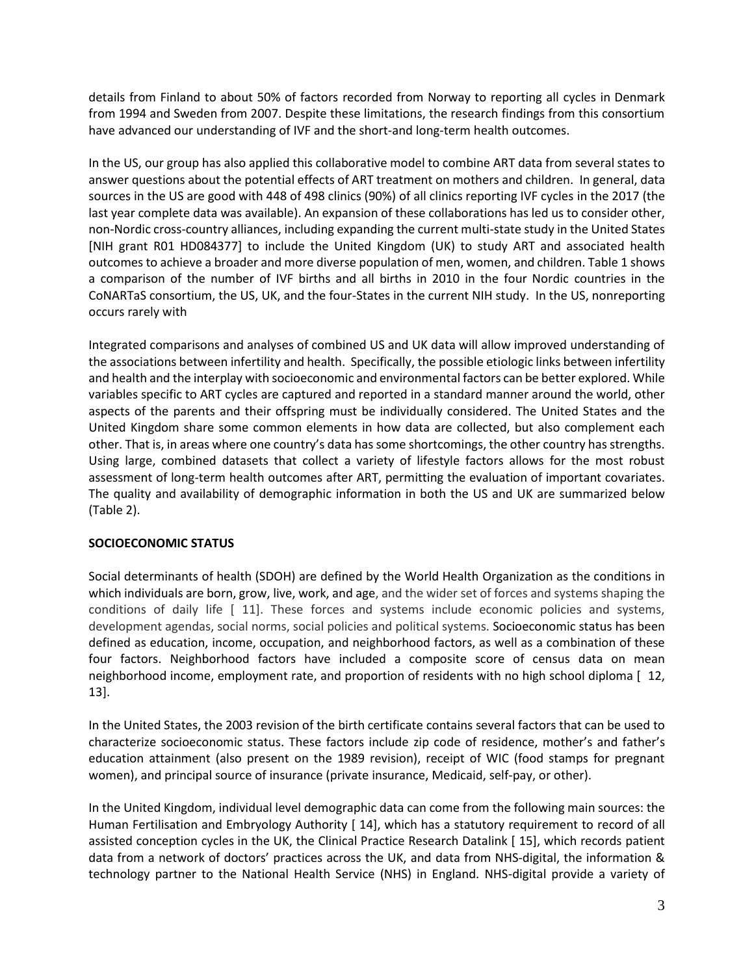details from Finland to about 50% of factors recorded from Norway to reporting all cycles in Denmark from 1994 and Sweden from 2007. Despite these limitations, the research findings from this consortium have advanced our understanding of IVF and the short-and long-term health outcomes.

In the US, our group has also applied this collaborative model to combine ART data from several states to answer questions about the potential effects of ART treatment on mothers and children. In general, data sources in the US are good with 448 of 498 clinics (90%) of all clinics reporting IVF cycles in the 2017 (the last year complete data was available). An expansion of these collaborations has led us to consider other, non-Nordic cross-country alliances, including expanding the current multi-state study in the United States [NIH grant R01 HD084377] to include the United Kingdom (UK) to study ART and associated health outcomes to achieve a broader and more diverse population of men, women, and children. Table 1 shows a comparison of the number of IVF births and all births in 2010 in the four Nordic countries in the CoNARTaS consortium, the US, UK, and the four-States in the current NIH study. In the US, nonreporting occurs rarely with

Integrated comparisons and analyses of combined US and UK data will allow improved understanding of the associations between infertility and health. Specifically, the possible etiologic links between infertility and health and the interplay with socioeconomic and environmental factors can be better explored. While variables specific to ART cycles are captured and reported in a standard manner around the world, other aspects of the parents and their offspring must be individually considered. The United States and the United Kingdom share some common elements in how data are collected, but also complement each other. That is, in areas where one country's data has some shortcomings, the other country has strengths. Using large, combined datasets that collect a variety of lifestyle factors allows for the most robust assessment of long-term health outcomes after ART, permitting the evaluation of important covariates. The quality and availability of demographic information in both the US and UK are summarized below (Table 2).

### **SOCIOECONOMIC STATUS**

Social determinants of health (SDOH) are defined by the World Health Organization as the conditions in which individuals are born, grow, live, work, and age, and the wider set of forces and systems shaping the conditions of daily life [ 11]. These forces and systems include economic policies and systems, development agendas, social norms, social policies and political systems. Socioeconomic status has been defined as education, income, occupation, and neighborhood factors, as well as a combination of these four factors. Neighborhood factors have included a composite score of census data on mean neighborhood income, employment rate, and proportion of residents with no high school diploma [ 12, 13].

In the United States, the 2003 revision of the birth certificate contains several factors that can be used to characterize socioeconomic status. These factors include zip code of residence, mother's and father's education attainment (also present on the 1989 revision), receipt of WIC (food stamps for pregnant women), and principal source of insurance (private insurance, Medicaid, self-pay, or other).

In the United Kingdom, individual level demographic data can come from the following main sources: the Human Fertilisation and Embryology Authority [ 14], which has a statutory requirement to record of all assisted conception cycles in the UK, the Clinical Practice Research Datalink [ 15], which records patient data from a network of doctors' practices across the UK, and data from NHS-digital, the information & technology partner to the National Health Service (NHS) in England. NHS-digital provide a variety of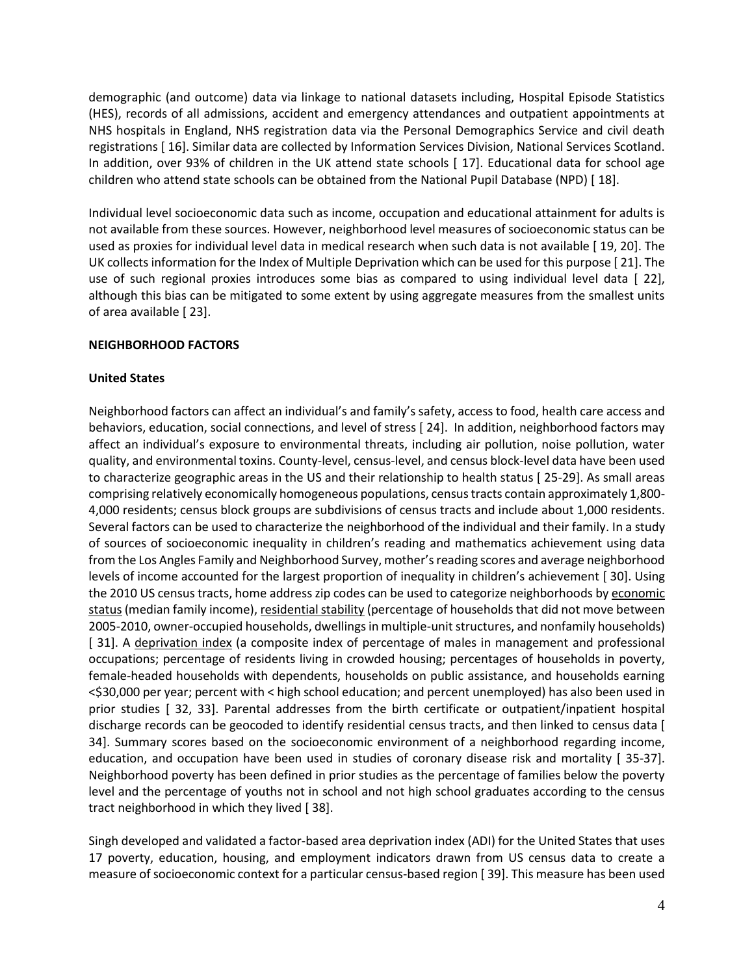demographic (and outcome) data via linkage to national datasets including, Hospital Episode Statistics (HES), records of all admissions, accident and emergency attendances and outpatient appointments at NHS hospitals in England, NHS registration data via the Personal Demographics Service and civil death registrations [ 16]. Similar data are collected by Information Services Division, National Services Scotland. In addition, over 93% of children in the UK attend state schools [ 17]. Educational data for school age children who attend state schools can be obtained from the National Pupil Database (NPD) [ 18].

Individual level socioeconomic data such as income, occupation and educational attainment for adults is not available from these sources. However, neighborhood level measures of socioeconomic status can be used as proxies for individual level data in medical research when such data is not available [ 19, 20]. The UK collects information for the Index of Multiple Deprivation which can be used for this purpose [ 21]. The use of such regional proxies introduces some bias as compared to using individual level data [ 22], although this bias can be mitigated to some extent by using aggregate measures from the smallest units of area available [ 23].

### **NEIGHBORHOOD FACTORS**

#### **United States**

Neighborhood factors can affect an individual's and family's safety, access to food, health care access and behaviors, education, social connections, and level of stress [ 24]. In addition, neighborhood factors may affect an individual's exposure to environmental threats, including air pollution, noise pollution, water quality, and environmental toxins. County-level, census-level, and census block-level data have been used to characterize geographic areas in the US and their relationship to health status [ 25-29]. As small areas comprising relatively economically homogeneous populations, census tracts contain approximately 1,800- 4,000 residents; census block groups are subdivisions of census tracts and include about 1,000 residents. Several factors can be used to characterize the neighborhood of the individual and their family. In a study of sources of socioeconomic inequality in children's reading and mathematics achievement using data from the Los Angles Family and Neighborhood Survey, mother's reading scores and average neighborhood levels of income accounted for the largest proportion of inequality in children's achievement [ 30]. Using the 2010 US census tracts, home address zip codes can be used to categorize neighborhoods by economic status (median family income), residential stability (percentage of households that did not move between 2005-2010, owner-occupied households, dwellings in multiple-unit structures, and nonfamily households) [31]. A deprivation index (a composite index of percentage of males in management and professional occupations; percentage of residents living in crowded housing; percentages of households in poverty, female-headed households with dependents, households on public assistance, and households earning <\$30,000 per year; percent with < high school education; and percent unemployed) has also been used in prior studies [ 32, 33]. Parental addresses from the birth certificate or outpatient/inpatient hospital discharge records can be geocoded to identify residential census tracts, and then linked to census data [ 34]. Summary scores based on the socioeconomic environment of a neighborhood regarding income, education, and occupation have been used in studies of coronary disease risk and mortality [ 35-37]. Neighborhood poverty has been defined in prior studies as the percentage of families below the poverty level and the percentage of youths not in school and not high school graduates according to the census tract neighborhood in which they lived [ 38].

Singh developed and validated a factor-based area deprivation index (ADI) for the United States that uses 17 poverty, education, housing, and employment indicators drawn from US census data to create a measure of socioeconomic context for a particular census-based region [ 39]. This measure has been used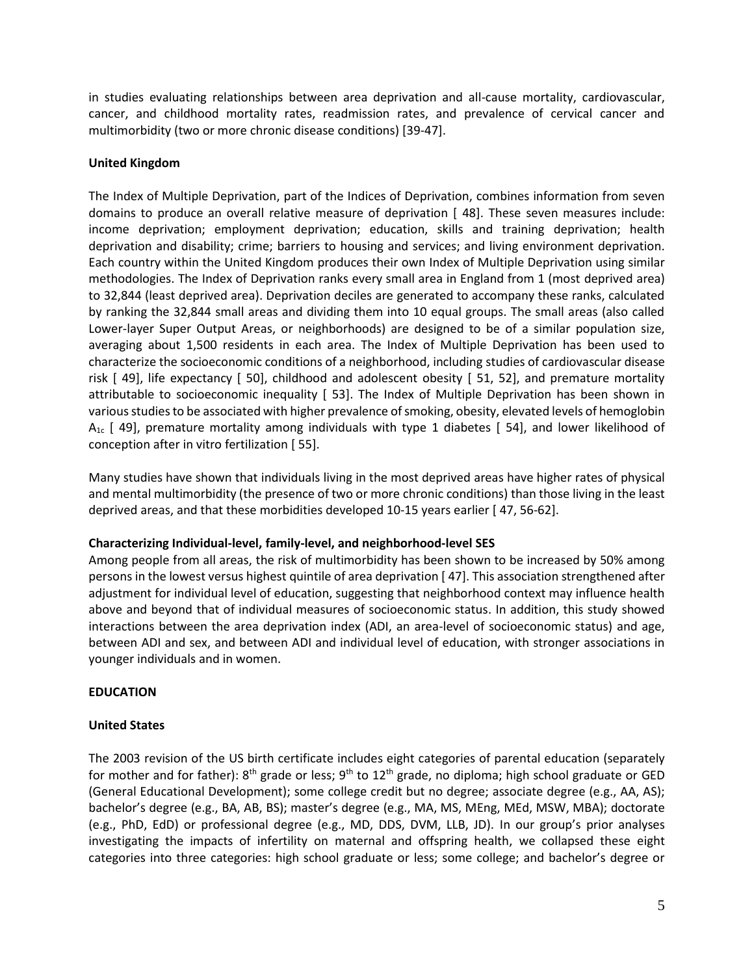in studies evaluating relationships between area deprivation and all-cause mortality, cardiovascular, cancer, and childhood mortality rates, readmission rates, and prevalence of cervical cancer and multimorbidity (two or more chronic disease conditions) [39-47].

## **United Kingdom**

The Index of Multiple Deprivation, part of the Indices of Deprivation, combines information from seven domains to produce an overall relative measure of deprivation [ 48]. These seven measures include: income deprivation; employment deprivation; education, skills and training deprivation; health deprivation and disability; crime; barriers to housing and services; and living environment deprivation. Each country within the United Kingdom produces their own Index of Multiple Deprivation using similar methodologies. The Index of Deprivation ranks every small area in England from 1 (most deprived area) to 32,844 (least deprived area). Deprivation deciles are generated to accompany these ranks, calculated by ranking the 32,844 small areas and dividing them into 10 equal groups. The small areas (also called Lower-layer Super Output Areas, or neighborhoods) are designed to be of a similar population size, averaging about 1,500 residents in each area. The Index of Multiple Deprivation has been used to characterize the socioeconomic conditions of a neighborhood, including studies of cardiovascular disease risk [ 49], life expectancy [ 50], childhood and adolescent obesity [ 51, 52], and premature mortality attributable to socioeconomic inequality [ 53]. The Index of Multiple Deprivation has been shown in various studies to be associated with higher prevalence of smoking, obesity, elevated levels of hemoglobin  $A_{1c}$  [49], premature mortality among individuals with type 1 diabetes [54], and lower likelihood of conception after in vitro fertilization [ 55].

Many studies have shown that individuals living in the most deprived areas have higher rates of physical and mental multimorbidity (the presence of two or more chronic conditions) than those living in the least deprived areas, and that these morbidities developed 10-15 years earlier [ 47, 56-62].

### **Characterizing Individual-level, family-level, and neighborhood-level SES**

Among people from all areas, the risk of multimorbidity has been shown to be increased by 50% among persons in the lowest versus highest quintile of area deprivation [ 47]. This association strengthened after adjustment for individual level of education, suggesting that neighborhood context may influence health above and beyond that of individual measures of socioeconomic status. In addition, this study showed interactions between the area deprivation index (ADI, an area-level of socioeconomic status) and age, between ADI and sex, and between ADI and individual level of education, with stronger associations in younger individuals and in women.

# **EDUCATION**

# **United States**

The 2003 revision of the US birth certificate includes eight categories of parental education (separately for mother and for father):  $8^{th}$  grade or less;  $9^{th}$  to 12<sup>th</sup> grade, no diploma; high school graduate or GED (General Educational Development); some college credit but no degree; associate degree (e.g., AA, AS); bachelor's degree (e.g., BA, AB, BS); master's degree (e.g., MA, MS, MEng, MEd, MSW, MBA); doctorate (e.g., PhD, EdD) or professional degree (e.g., MD, DDS, DVM, LLB, JD). In our group's prior analyses investigating the impacts of infertility on maternal and offspring health, we collapsed these eight categories into three categories: high school graduate or less; some college; and bachelor's degree or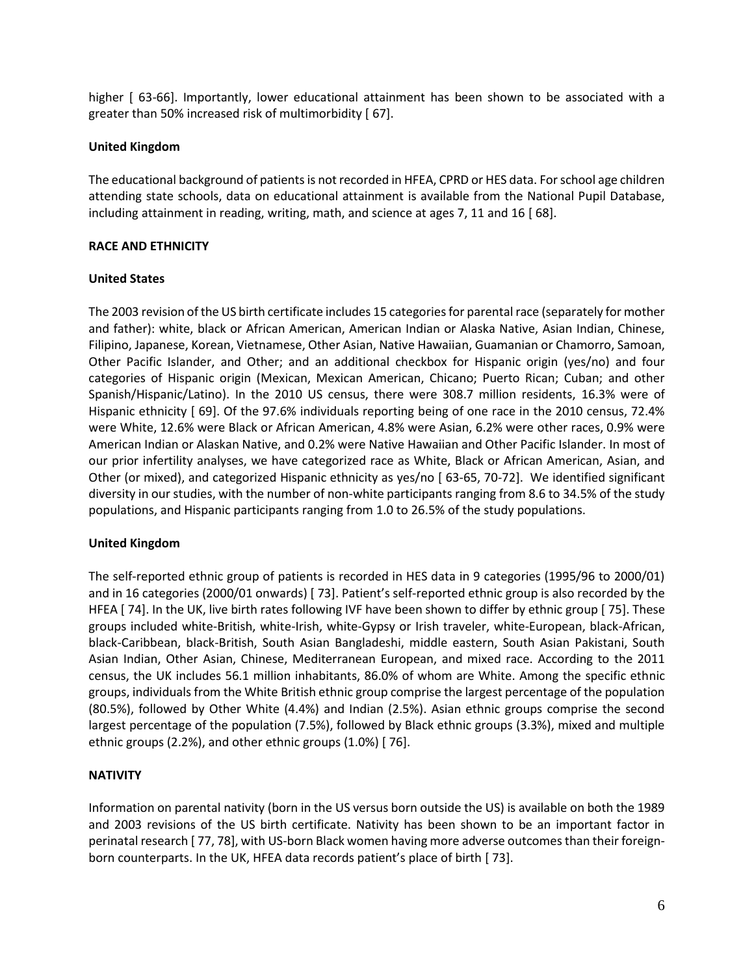higher [ 63-66]. Importantly, lower educational attainment has been shown to be associated with a greater than 50% increased risk of multimorbidity [ 67].

### **United Kingdom**

The educational background of patients is not recorded in HFEA, CPRD or HES data. For school age children attending state schools, data on educational attainment is available from the National Pupil Database, including attainment in reading, writing, math, and science at ages 7, 11 and 16 [ 68].

## **RACE AND ETHNICITY**

## **United States**

The 2003 revision of the US birth certificate includes 15 categories for parental race (separately for mother and father): white, black or African American, American Indian or Alaska Native, Asian Indian, Chinese, Filipino, Japanese, Korean, Vietnamese, Other Asian, Native Hawaiian, Guamanian or Chamorro, Samoan, Other Pacific Islander, and Other; and an additional checkbox for Hispanic origin (yes/no) and four categories of Hispanic origin (Mexican, Mexican American, Chicano; Puerto Rican; Cuban; and other Spanish/Hispanic/Latino). In the 2010 US census, there were 308.7 million residents, 16.3% were of Hispanic ethnicity [ 69]. Of the 97.6% individuals reporting being of one race in the 2010 census, 72.4% were White, 12.6% were Black or African American, 4.8% were Asian, 6.2% were other races, 0.9% were American Indian or Alaskan Native, and 0.2% were Native Hawaiian and Other Pacific Islander. In most of our prior infertility analyses, we have categorized race as White, Black or African American, Asian, and Other (or mixed), and categorized Hispanic ethnicity as yes/no [ 63-65, 70-72]. We identified significant diversity in our studies, with the number of non-white participants ranging from 8.6 to 34.5% of the study populations, and Hispanic participants ranging from 1.0 to 26.5% of the study populations.

# **United Kingdom**

The self-reported ethnic group of patients is recorded in HES data in 9 categories (1995/96 to 2000/01) and in 16 categories (2000/01 onwards) [ 73]. Patient's self-reported ethnic group is also recorded by the HFEA [ 74]. In the UK, live birth rates following IVF have been shown to differ by ethnic group [ 75]. These groups included white-British, white-Irish, white-Gypsy or Irish traveler, white-European, black-African, black-Caribbean, black-British, South Asian Bangladeshi, middle eastern, South Asian Pakistani, South Asian Indian, Other Asian, Chinese, Mediterranean European, and mixed race. According to the 2011 census, the UK includes 56.1 million inhabitants, 86.0% of whom are White. Among the specific ethnic groups, individuals from the White British ethnic group comprise the largest percentage of the population (80.5%), followed by Other White (4.4%) and Indian (2.5%). Asian ethnic groups comprise the second largest percentage of the population (7.5%), followed by Black ethnic groups (3.3%), mixed and multiple ethnic groups (2.2%), and other ethnic groups (1.0%) [ 76].

# **NATIVITY**

Information on parental nativity (born in the US versus born outside the US) is available on both the 1989 and 2003 revisions of the US birth certificate. Nativity has been shown to be an important factor in perinatal research [ 77, 78], with US-born Black women having more adverse outcomesthan their foreignborn counterparts. In the UK, HFEA data records patient's place of birth [ 73].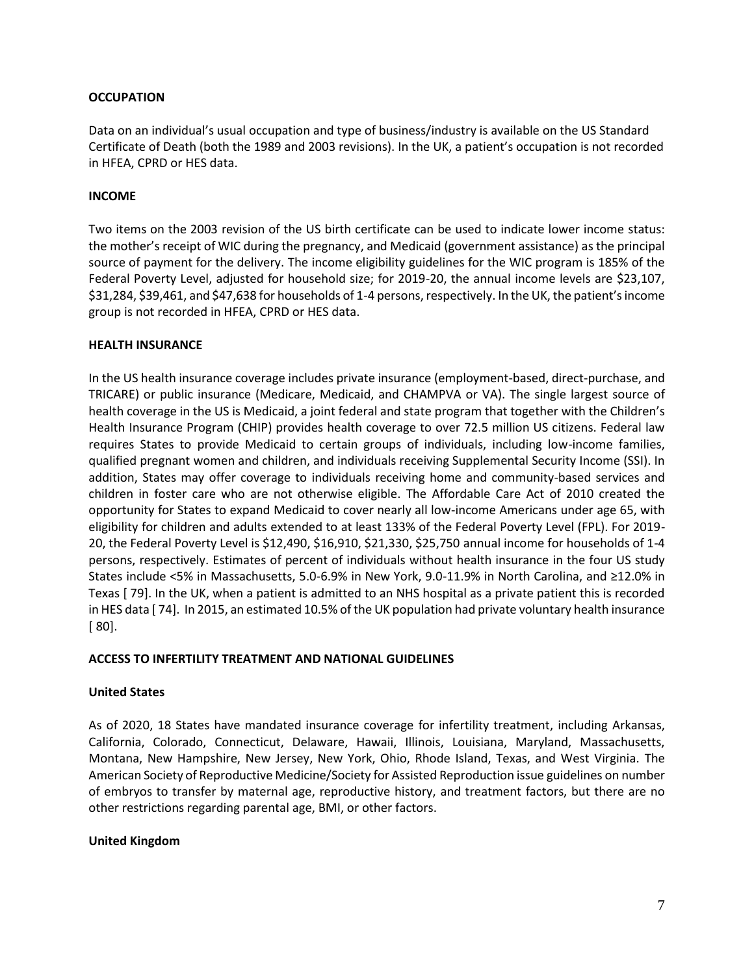### **OCCUPATION**

Data on an individual's usual occupation and type of business/industry is available on the US Standard Certificate of Death (both the 1989 and 2003 revisions). In the UK, a patient's occupation is not recorded in HFEA, CPRD or HES data.

#### **INCOME**

Two items on the 2003 revision of the US birth certificate can be used to indicate lower income status: the mother's receipt of WIC during the pregnancy, and Medicaid (government assistance) as the principal source of payment for the delivery. The income eligibility guidelines for the WIC program is 185% of the Federal Poverty Level, adjusted for household size; for 2019-20, the annual income levels are \$23,107, \$31,284, \$39,461, and \$47,638 for households of 1-4 persons, respectively. In the UK, the patient's income group is not recorded in HFEA, CPRD or HES data.

#### **HEALTH INSURANCE**

In the US health insurance coverage includes private insurance (employment-based, direct-purchase, and TRICARE) or public insurance (Medicare, Medicaid, and CHAMPVA or VA). The single largest source of health coverage in the US is Medicaid, a joint federal and state program that together with the Children's Health Insurance Program (CHIP) provides health coverage to over 72.5 million US citizens. Federal law requires States to provide Medicaid to certain groups of individuals, including low-income families, qualified pregnant women and children, and individuals receiving Supplemental Security Income (SSI). In addition, States may offer coverage to individuals receiving home and community-based services and children in foster care who are not otherwise eligible. The Affordable Care Act of 2010 created the opportunity for States to expand Medicaid to cover nearly all low-income Americans under age 65, with eligibility for children and adults extended to at least 133% of the Federal Poverty Level (FPL). For 2019- 20, the Federal Poverty Level is \$12,490, \$16,910, \$21,330, \$25,750 annual income for households of 1-4 persons, respectively. Estimates of percent of individuals without health insurance in the four US study States include <5% in Massachusetts, 5.0-6.9% in New York, 9.0-11.9% in North Carolina, and ≥12.0% in Texas [ 79]. In the UK, when a patient is admitted to an NHS hospital as a private patient this is recorded in HES data [ 74]. In 2015, an estimated 10.5% of the UK population had private voluntary health insurance [ 80].

### **ACCESS TO INFERTILITY TREATMENT AND NATIONAL GUIDELINES**

#### **United States**

As of 2020, 18 States have mandated insurance coverage for infertility treatment, including Arkansas, California, Colorado, Connecticut, Delaware, Hawaii, Illinois, Louisiana, Maryland, Massachusetts, Montana, New Hampshire, New Jersey, New York, Ohio, Rhode Island, Texas, and West Virginia. The American Society of Reproductive Medicine/Society for Assisted Reproduction issue guidelines on number of embryos to transfer by maternal age, reproductive history, and treatment factors, but there are no other restrictions regarding parental age, BMI, or other factors.

#### **United Kingdom**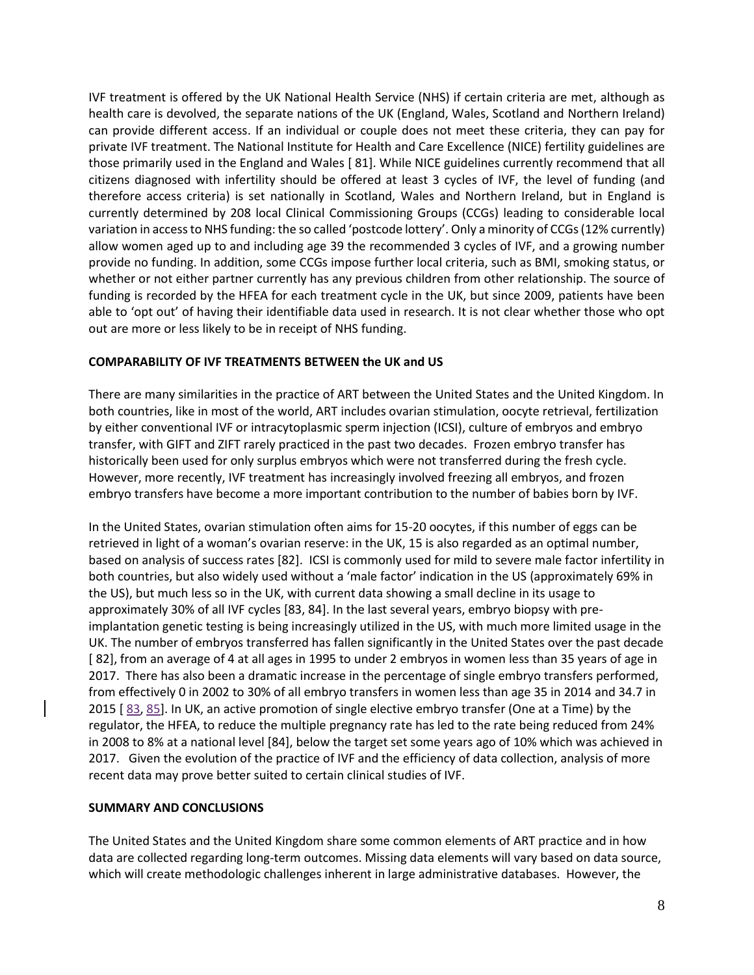IVF treatment is offered by the UK National Health Service (NHS) if certain criteria are met, although as health care is devolved, the separate nations of the UK (England, Wales, Scotland and Northern Ireland) can provide different access. If an individual or couple does not meet these criteria, they can pay for private IVF treatment. The National Institute for Health and Care Excellence (NICE) fertility guidelines are those primarily used in the England and Wales [ 81]. While NICE guidelines currently recommend that all citizens diagnosed with infertility should be offered at least 3 cycles of IVF, the level of funding (and therefore access criteria) is set nationally in Scotland, Wales and Northern Ireland, but in England is currently determined by 208 local Clinical Commissioning Groups (CCGs) leading to considerable local variation in access to NHS funding: the so called 'postcode lottery'. Only a minority of CCGs (12% currently) allow women aged up to and including age 39 the recommended 3 cycles of IVF, and a growing number provide no funding. In addition, some CCGs impose further local criteria, such as BMI, smoking status, or whether or not either partner currently has any previous children from other relationship. The source of funding is recorded by the HFEA for each treatment cycle in the UK, but since 2009, patients have been able to 'opt out' of having their identifiable data used in research. It is not clear whether those who opt out are more or less likely to be in receipt of NHS funding.

## **COMPARABILITY OF IVF TREATMENTS BETWEEN the UK and US**

There are many similarities in the practice of ART between the United States and the United Kingdom. In both countries, like in most of the world, ART includes ovarian stimulation, oocyte retrieval, fertilization by either conventional IVF or intracytoplasmic sperm injection (ICSI), culture of embryos and embryo transfer, with GIFT and ZIFT rarely practiced in the past two decades. Frozen embryo transfer has historically been used for only surplus embryos which were not transferred during the fresh cycle. However, more recently, IVF treatment has increasingly involved freezing all embryos, and frozen embryo transfers have become a more important contribution to the number of babies born by IVF.

In the United States, ovarian stimulation often aims for 15-20 oocytes, if this number of eggs can be retrieved in light of a woman's ovarian reserve: in the UK, 15 is also regarded as an optimal number, based on analysis of success rates [82]. ICSI is commonly used for mild to severe male factor infertility in both countries, but also widely used without a 'male factor' indication in the US (approximately 69% in the US), but much less so in the UK, with current data showing a small decline in its usage to approximately 30% of all IVF cycles [83, 84]. In the last several years, embryo biopsy with preimplantation genetic testing is being increasingly utilized in the US, with much more limited usage in the UK. The number of embryos transferred has fallen significantly in the United States over the past decade [ 82], from an average of 4 at all ages in 1995 to under 2 embryos in women less than 35 years of age in 2017. There has also been a dramatic increase in the percentage of single embryo transfers performed, from effectively 0 in 2002 to 30% of all embryo transfers in women less than age 35 in 2014 and 34.7 in 2015 [ 83, 85]. In UK, an active promotion of single elective embryo transfer (One at a Time) by the regulator, the HFEA, to reduce the multiple pregnancy rate has led to the rate being reduced from 24% in 2008 to 8% at a national level [84], below the target set some years ago of 10% which was achieved in 2017. Given the evolution of the practice of IVF and the efficiency of data collection, analysis of more recent data may prove better suited to certain clinical studies of IVF.

# **SUMMARY AND CONCLUSIONS**

The United States and the United Kingdom share some common elements of ART practice and in how data are collected regarding long-term outcomes. Missing data elements will vary based on data source, which will create methodologic challenges inherent in large administrative databases. However, the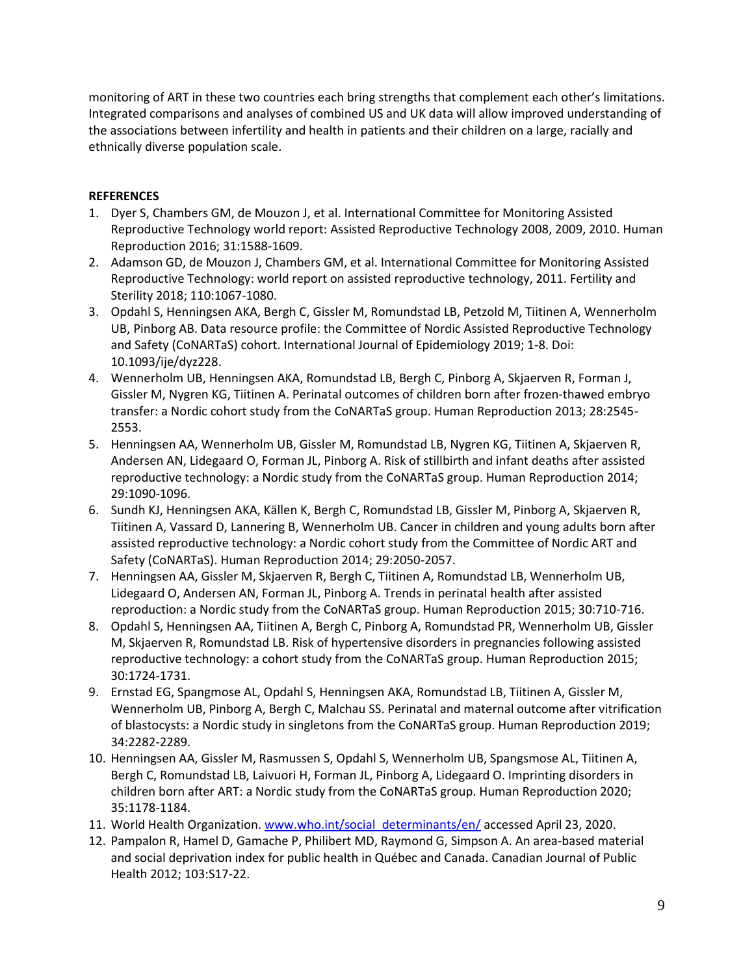monitoring of ART in these two countries each bring strengths that complement each other's limitations. Integrated comparisons and analyses of combined US and UK data will allow improved understanding of the associations between infertility and health in patients and their children on a large, racially and ethnically diverse population scale.

# **REFERENCES**

- 1. Dyer S, Chambers GM, de Mouzon J, et al. International Committee for Monitoring Assisted Reproductive Technology world report: Assisted Reproductive Technology 2008, 2009, 2010. Human Reproduction 2016; 31:1588-1609.
- 2. Adamson GD, de Mouzon J, Chambers GM, et al. International Committee for Monitoring Assisted Reproductive Technology: world report on assisted reproductive technology, 2011. Fertility and Sterility 2018; 110:1067-1080.
- 3. Opdahl S, Henningsen AKA, Bergh C, Gissler M, Romundstad LB, Petzold M, Tiitinen A, Wennerholm UB, Pinborg AB. Data resource profile: the Committee of Nordic Assisted Reproductive Technology and Safety (CoNARTaS) cohort. International Journal of Epidemiology 2019; 1-8. Doi: 10.1093/ije/dyz228.
- 4. Wennerholm UB, Henningsen AKA, Romundstad LB, Bergh C, Pinborg A, Skjaerven R, Forman J, Gissler M, Nygren KG, Tiitinen A. Perinatal outcomes of children born after frozen-thawed embryo transfer: a Nordic cohort study from the CoNARTaS group. Human Reproduction 2013; 28:2545- 2553.
- 5. Henningsen AA, Wennerholm UB, Gissler M, Romundstad LB, Nygren KG, Tiitinen A, Skjaerven R, Andersen AN, Lidegaard O, Forman JL, Pinborg A. Risk of stillbirth and infant deaths after assisted reproductive technology: a Nordic study from the CoNARTaS group. Human Reproduction 2014; 29:1090-1096.
- 6. Sundh KJ, Henningsen AKA, Källen K, Bergh C, Romundstad LB, Gissler M, Pinborg A, Skjaerven R, Tiitinen A, Vassard D, Lannering B, Wennerholm UB. Cancer in children and young adults born after assisted reproductive technology: a Nordic cohort study from the Committee of Nordic ART and Safety (CoNARTaS). Human Reproduction 2014; 29:2050-2057.
- 7. Henningsen AA, Gissler M, Skjaerven R, Bergh C, Tiitinen A, Romundstad LB, Wennerholm UB, Lidegaard O, Andersen AN, Forman JL, Pinborg A. Trends in perinatal health after assisted reproduction: a Nordic study from the CoNARTaS group. Human Reproduction 2015; 30:710-716.
- 8. Opdahl S, Henningsen AA, Tiitinen A, Bergh C, Pinborg A, Romundstad PR, Wennerholm UB, Gissler M, Skjaerven R, Romundstad LB. Risk of hypertensive disorders in pregnancies following assisted reproductive technology: a cohort study from the CoNARTaS group. Human Reproduction 2015; 30:1724-1731.
- 9. Ernstad EG, Spangmose AL, Opdahl S, Henningsen AKA, Romundstad LB, Tiitinen A, Gissler M, Wennerholm UB, Pinborg A, Bergh C, Malchau SS. Perinatal and maternal outcome after vitrification of blastocysts: a Nordic study in singletons from the CoNARTaS group. Human Reproduction 2019; 34:2282-2289.
- 10. Henningsen AA, Gissler M, Rasmussen S, Opdahl S, Wennerholm UB, Spangsmose AL, Tiitinen A, Bergh C, Romundstad LB, Laivuori H, Forman JL, Pinborg A, Lidegaard O. Imprinting disorders in children born after ART: a Nordic study from the CoNARTaS group. Human Reproduction 2020; 35:1178-1184.
- 11. World Health Organization. [www.who.int/social\\_determinants/en/](http://www.who.int/social_determinants/en/) accessed April 23, 2020.
- 12. Pampalon R, Hamel D, Gamache P, Philibert MD, Raymond G, Simpson A. An area-based material and social deprivation index for public health in Québec and Canada. Canadian Journal of Public Health 2012; 103:S17-22.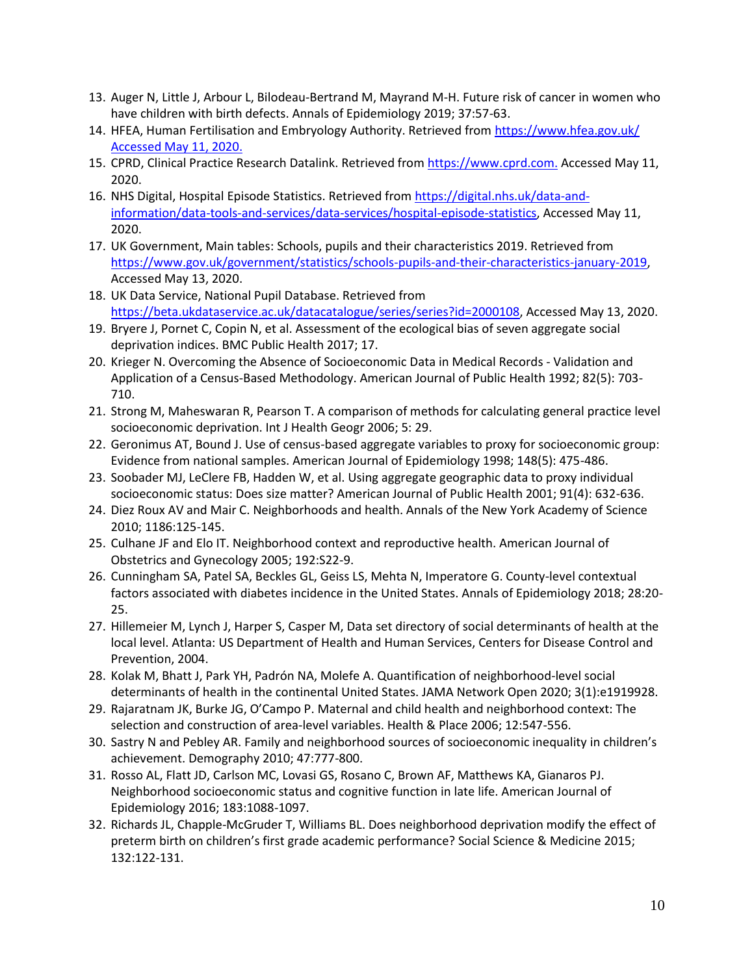- 13. Auger N, Little J, Arbour L, Bilodeau-Bertrand M, Mayrand M-H. Future risk of cancer in women who have children with birth defects. Annals of Epidemiology 2019; 37:57-63.
- 14. HFEA, Human Fertilisation and Embryology Authority. Retrieved from https://www.hfea.gov.uk/ Accessed May 11, 2020.
- 15. CPRD, Clinical Practice Research Datalink. Retrieved from [https://www.cprd.com.](https://www.cprd.com./) Accessed May 11, 2020.
- 16. NHS Digital, Hospital Episode Statistics. Retrieved from [https://digital.nhs.uk/data-and](https://digital.nhs.uk/data-and-information/data-tools-and-services/data-services/hospital-episode-statistics)[information/data-tools-and-services/data-services/hospital-episode-statistics,](https://digital.nhs.uk/data-and-information/data-tools-and-services/data-services/hospital-episode-statistics) Accessed May 11, 2020.
- 17. UK Government, Main tables: Schools, pupils and their characteristics 2019. Retrieved from [https://www.gov.uk/government/statistics/schools-pupils-and-their-characteristics-january-2019,](https://www.gov.uk/government/statistics/schools-pupils-and-their-characteristics-january-2019) Accessed May 13, 2020.
- 18. UK Data Service, National Pupil Database. Retrieved from [https://beta.ukdataservice.ac.uk/datacatalogue/series/series?id=2000108,](https://beta.ukdataservice.ac.uk/datacatalogue/series/series?id=2000108) Accessed May 13, 2020.
- 19. Bryere J, Pornet C, Copin N, et al. Assessment of the ecological bias of seven aggregate social deprivation indices. BMC Public Health 2017; 17.
- 20. Krieger N. Overcoming the Absence of Socioeconomic Data in Medical Records Validation and Application of a Census-Based Methodology. American Journal of Public Health 1992; 82(5): 703- 710.
- 21. Strong M, Maheswaran R, Pearson T. A comparison of methods for calculating general practice level socioeconomic deprivation. Int J Health Geogr 2006; 5: 29.
- 22. Geronimus AT, Bound J. Use of census-based aggregate variables to proxy for socioeconomic group: Evidence from national samples. American Journal of Epidemiology 1998; 148(5): 475-486.
- 23. Soobader MJ, LeClere FB, Hadden W, et al. Using aggregate geographic data to proxy individual socioeconomic status: Does size matter? American Journal of Public Health 2001; 91(4): 632-636.
- 24. Diez Roux AV and Mair C. Neighborhoods and health. Annals of the New York Academy of Science 2010; 1186:125-145.
- 25. Culhane JF and Elo IT. Neighborhood context and reproductive health. American Journal of Obstetrics and Gynecology 2005; 192:S22-9.
- 26. Cunningham SA, Patel SA, Beckles GL, Geiss LS, Mehta N, Imperatore G. County-level contextual factors associated with diabetes incidence in the United States. Annals of Epidemiology 2018; 28:20- 25.
- 27. Hillemeier M, Lynch J, Harper S, Casper M, Data set directory of social determinants of health at the local level. Atlanta: US Department of Health and Human Services, Centers for Disease Control and Prevention, 2004.
- 28. Kolak M, Bhatt J, Park YH, Padrón NA, Molefe A. Quantification of neighborhood-level social determinants of health in the continental United States. JAMA Network Open 2020; 3(1):e1919928.
- 29. Rajaratnam JK, Burke JG, O'Campo P. Maternal and child health and neighborhood context: The selection and construction of area-level variables. Health & Place 2006; 12:547-556.
- 30. Sastry N and Pebley AR. Family and neighborhood sources of socioeconomic inequality in children's achievement. Demography 2010; 47:777-800.
- 31. Rosso AL, Flatt JD, Carlson MC, Lovasi GS, Rosano C, Brown AF, Matthews KA, Gianaros PJ. Neighborhood socioeconomic status and cognitive function in late life. American Journal of Epidemiology 2016; 183:1088-1097.
- 32. Richards JL, Chapple-McGruder T, Williams BL. Does neighborhood deprivation modify the effect of preterm birth on children's first grade academic performance? Social Science & Medicine 2015; 132:122-131.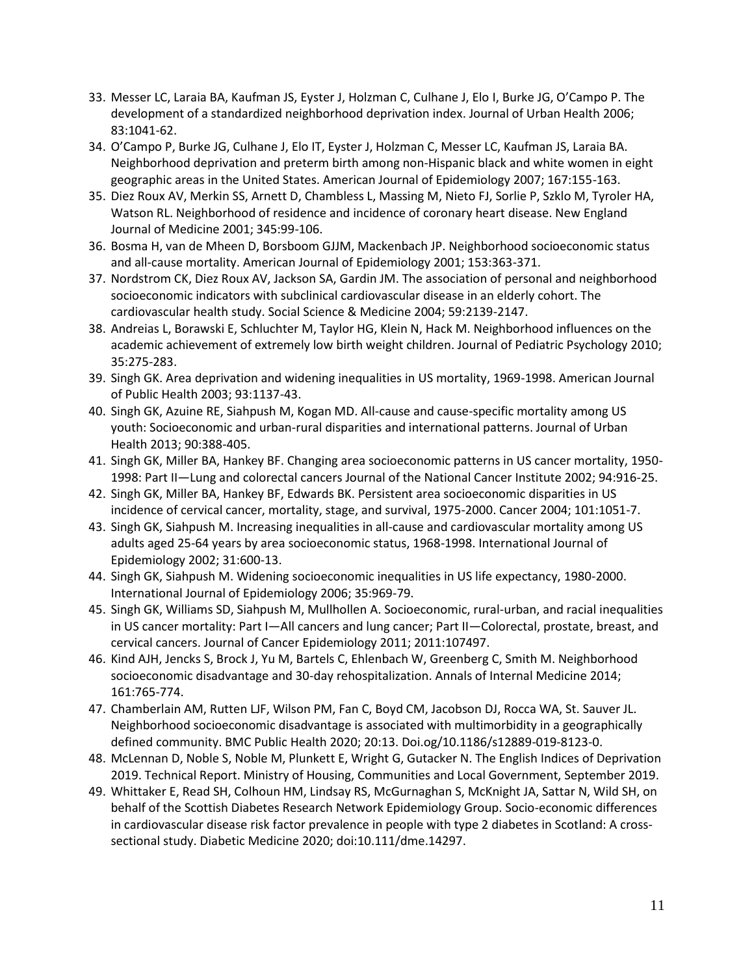- 33. Messer LC, Laraia BA, Kaufman JS, Eyster J, Holzman C, Culhane J, Elo I, Burke JG, O'Campo P. The development of a standardized neighborhood deprivation index. Journal of Urban Health 2006; 83:1041-62.
- 34. O'Campo P, Burke JG, Culhane J, Elo IT, Eyster J, Holzman C, Messer LC, Kaufman JS, Laraia BA. Neighborhood deprivation and preterm birth among non-Hispanic black and white women in eight geographic areas in the United States. American Journal of Epidemiology 2007; 167:155-163.
- 35. Diez Roux AV, Merkin SS, Arnett D, Chambless L, Massing M, Nieto FJ, Sorlie P, Szklo M, Tyroler HA, Watson RL. Neighborhood of residence and incidence of coronary heart disease. New England Journal of Medicine 2001; 345:99-106.
- 36. Bosma H, van de Mheen D, Borsboom GJJM, Mackenbach JP. Neighborhood socioeconomic status and all-cause mortality. American Journal of Epidemiology 2001; 153:363-371.
- 37. Nordstrom CK, Diez Roux AV, Jackson SA, Gardin JM. The association of personal and neighborhood socioeconomic indicators with subclinical cardiovascular disease in an elderly cohort. The cardiovascular health study. Social Science & Medicine 2004; 59:2139-2147.
- 38. Andreias L, Borawski E, Schluchter M, Taylor HG, Klein N, Hack M. Neighborhood influences on the academic achievement of extremely low birth weight children. Journal of Pediatric Psychology 2010; 35:275-283.
- 39. Singh GK. Area deprivation and widening inequalities in US mortality, 1969-1998. American Journal of Public Health 2003; 93:1137-43.
- 40. Singh GK, Azuine RE, Siahpush M, Kogan MD. All-cause and cause-specific mortality among US youth: Socioeconomic and urban-rural disparities and international patterns. Journal of Urban Health 2013; 90:388-405.
- 41. Singh GK, Miller BA, Hankey BF. Changing area socioeconomic patterns in US cancer mortality, 1950- 1998: Part II—Lung and colorectal cancers Journal of the National Cancer Institute 2002; 94:916-25.
- 42. Singh GK, Miller BA, Hankey BF, Edwards BK. Persistent area socioeconomic disparities in US incidence of cervical cancer, mortality, stage, and survival, 1975-2000. Cancer 2004; 101:1051-7.
- 43. Singh GK, Siahpush M. Increasing inequalities in all-cause and cardiovascular mortality among US adults aged 25-64 years by area socioeconomic status, 1968-1998. International Journal of Epidemiology 2002; 31:600-13.
- 44. Singh GK, Siahpush M. Widening socioeconomic inequalities in US life expectancy, 1980-2000. International Journal of Epidemiology 2006; 35:969-79.
- 45. Singh GK, Williams SD, Siahpush M, Mullhollen A. Socioeconomic, rural-urban, and racial inequalities in US cancer mortality: Part I—All cancers and lung cancer; Part II—Colorectal, prostate, breast, and cervical cancers. Journal of Cancer Epidemiology 2011; 2011:107497.
- 46. Kind AJH, Jencks S, Brock J, Yu M, Bartels C, Ehlenbach W, Greenberg C, Smith M. Neighborhood socioeconomic disadvantage and 30-day rehospitalization. Annals of Internal Medicine 2014; 161:765-774.
- 47. Chamberlain AM, Rutten LJF, Wilson PM, Fan C, Boyd CM, Jacobson DJ, Rocca WA, St. Sauver JL. Neighborhood socioeconomic disadvantage is associated with multimorbidity in a geographically defined community. BMC Public Health 2020; 20:13. Doi.og/10.1186/s12889-019-8123-0.
- 48. McLennan D, Noble S, Noble M, Plunkett E, Wright G, Gutacker N. The English Indices of Deprivation 2019. Technical Report. Ministry of Housing, Communities and Local Government, September 2019.
- 49. Whittaker E, Read SH, Colhoun HM, Lindsay RS, McGurnaghan S, McKnight JA, Sattar N, Wild SH, on behalf of the Scottish Diabetes Research Network Epidemiology Group. Socio-economic differences in cardiovascular disease risk factor prevalence in people with type 2 diabetes in Scotland: A crosssectional study. Diabetic Medicine 2020; doi:10.111/dme.14297.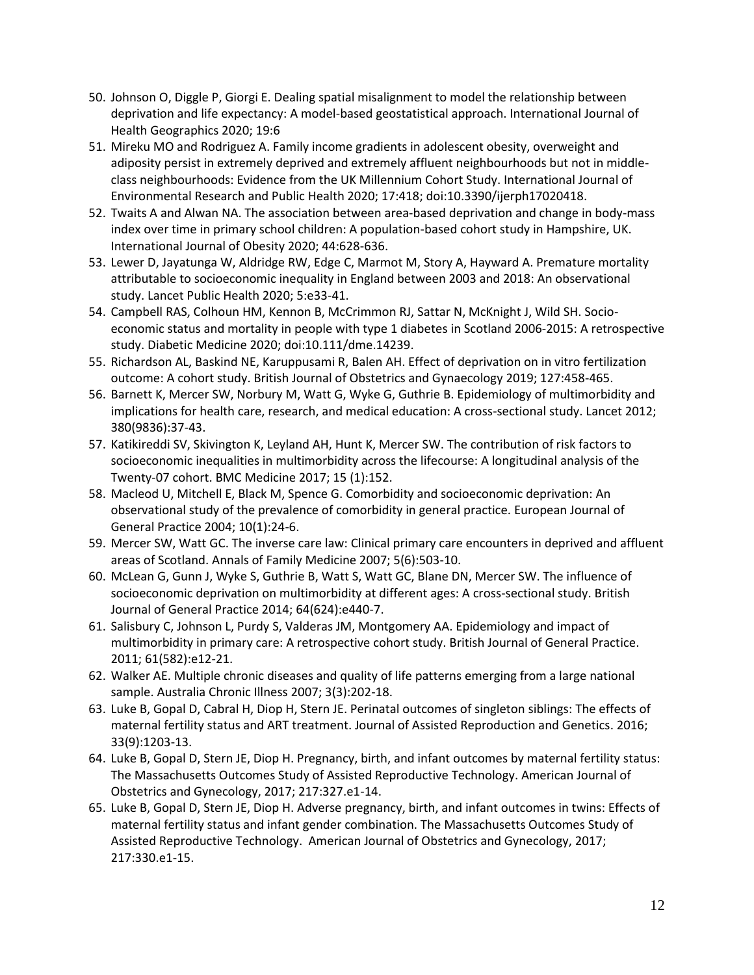- 50. Johnson O, Diggle P, Giorgi E. Dealing spatial misalignment to model the relationship between deprivation and life expectancy: A model-based geostatistical approach. International Journal of Health Geographics 2020; 19:6
- 51. Mireku MO and Rodriguez A. Family income gradients in adolescent obesity, overweight and adiposity persist in extremely deprived and extremely affluent neighbourhoods but not in middleclass neighbourhoods: Evidence from the UK Millennium Cohort Study. International Journal of Environmental Research and Public Health 2020; 17:418; doi:10.3390/ijerph17020418.
- 52. Twaits A and Alwan NA. The association between area-based deprivation and change in body-mass index over time in primary school children: A population-based cohort study in Hampshire, UK. International Journal of Obesity 2020; 44:628-636.
- 53. Lewer D, Jayatunga W, Aldridge RW, Edge C, Marmot M, Story A, Hayward A. Premature mortality attributable to socioeconomic inequality in England between 2003 and 2018: An observational study. Lancet Public Health 2020; 5:e33-41.
- 54. Campbell RAS, Colhoun HM, Kennon B, McCrimmon RJ, Sattar N, McKnight J, Wild SH. Socioeconomic status and mortality in people with type 1 diabetes in Scotland 2006-2015: A retrospective study. Diabetic Medicine 2020; doi:10.111/dme.14239.
- 55. Richardson AL, Baskind NE, Karuppusami R, Balen AH. Effect of deprivation on in vitro fertilization outcome: A cohort study. British Journal of Obstetrics and Gynaecology 2019; 127:458-465.
- 56. Barnett K, Mercer SW, Norbury M, Watt G, Wyke G, Guthrie B. Epidemiology of multimorbidity and implications for health care, research, and medical education: A cross-sectional study. Lancet 2012; 380(9836):37-43.
- 57. Katikireddi SV, Skivington K, Leyland AH, Hunt K, Mercer SW. The contribution of risk factors to socioeconomic inequalities in multimorbidity across the lifecourse: A longitudinal analysis of the Twenty-07 cohort. BMC Medicine 2017; 15 (1):152.
- 58. Macleod U, Mitchell E, Black M, Spence G. Comorbidity and socioeconomic deprivation: An observational study of the prevalence of comorbidity in general practice. European Journal of General Practice 2004; 10(1):24-6.
- 59. Mercer SW, Watt GC. The inverse care law: Clinical primary care encounters in deprived and affluent areas of Scotland. Annals of Family Medicine 2007; 5(6):503-10.
- 60. McLean G, Gunn J, Wyke S, Guthrie B, Watt S, Watt GC, Blane DN, Mercer SW. The influence of socioeconomic deprivation on multimorbidity at different ages: A cross-sectional study. British Journal of General Practice 2014; 64(624):e440-7.
- 61. Salisbury C, Johnson L, Purdy S, Valderas JM, Montgomery AA. Epidemiology and impact of multimorbidity in primary care: A retrospective cohort study. British Journal of General Practice. 2011; 61(582):e12-21.
- 62. Walker AE. Multiple chronic diseases and quality of life patterns emerging from a large national sample. Australia Chronic Illness 2007; 3(3):202-18.
- 63. Luke B, Gopal D, Cabral H, Diop H, Stern JE. Perinatal outcomes of singleton siblings: The effects of maternal fertility status and ART treatment. Journal of Assisted Reproduction and Genetics. 2016; 33(9):1203-13.
- 64. Luke B, Gopal D, Stern JE, Diop H. Pregnancy, birth, and infant outcomes by maternal fertility status: The Massachusetts Outcomes Study of Assisted Reproductive Technology. American Journal of Obstetrics and Gynecology, 2017; 217:327.e1-14.
- 65. Luke B, Gopal D, Stern JE, Diop H. Adverse pregnancy, birth, and infant outcomes in twins: Effects of maternal fertility status and infant gender combination. The Massachusetts Outcomes Study of Assisted Reproductive Technology. American Journal of Obstetrics and Gynecology, 2017; 217:330.e1-15.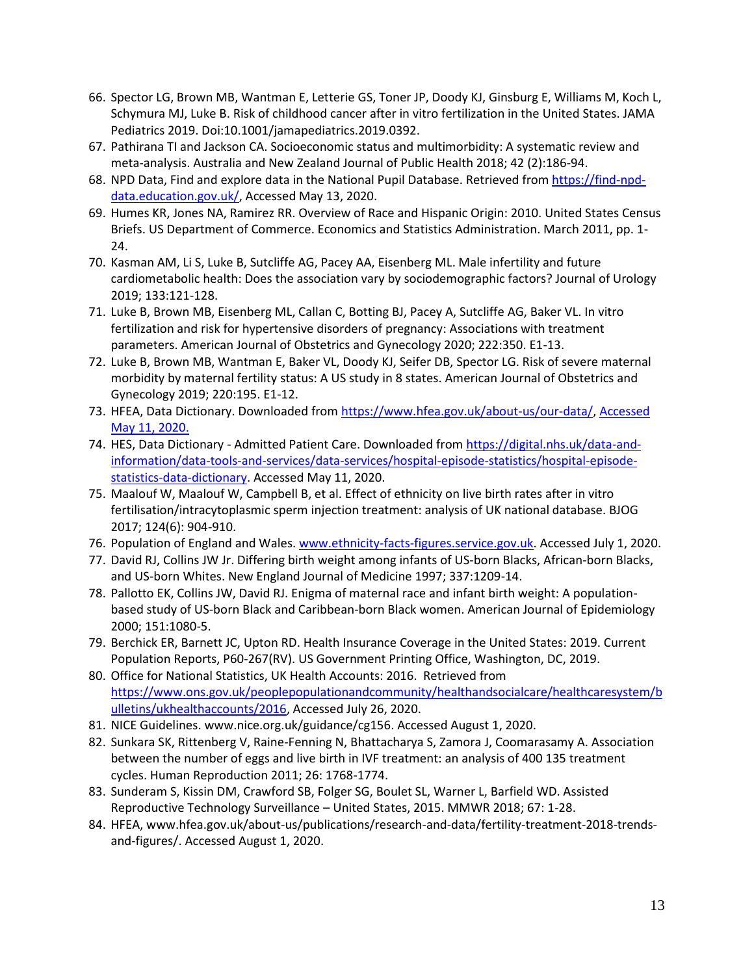- 66. Spector LG, Brown MB, Wantman E, Letterie GS, Toner JP, Doody KJ, Ginsburg E, Williams M, Koch L, Schymura MJ, Luke B. Risk of childhood cancer after in vitro fertilization in the United States. JAMA Pediatrics 2019. Doi:10.1001/jamapediatrics.2019.0392.
- 67. Pathirana TI and Jackson CA. Socioeconomic status and multimorbidity: A systematic review and meta-analysis. Australia and New Zealand Journal of Public Health 2018; 42 (2):186-94.
- 68. NPD Data, Find and explore data in the National Pupil Database. Retrieved from [https://find-npd](https://find-npd-data.education.gov.uk/)[data.education.gov.uk/,](https://find-npd-data.education.gov.uk/) Accessed May 13, 2020.
- 69. Humes KR, Jones NA, Ramirez RR. Overview of Race and Hispanic Origin: 2010. United States Census Briefs. US Department of Commerce. Economics and Statistics Administration. March 2011, pp. 1- 24.
- 70. Kasman AM, Li S, Luke B, Sutcliffe AG, Pacey AA, Eisenberg ML. Male infertility and future cardiometabolic health: Does the association vary by sociodemographic factors? Journal of Urology 2019; 133:121-128.
- 71. Luke B, Brown MB, Eisenberg ML, Callan C, Botting BJ, Pacey A, Sutcliffe AG, Baker VL. In vitro fertilization and risk for hypertensive disorders of pregnancy: Associations with treatment parameters. American Journal of Obstetrics and Gynecology 2020; 222:350. E1-13.
- 72. Luke B, Brown MB, Wantman E, Baker VL, Doody KJ, Seifer DB, Spector LG. Risk of severe maternal morbidity by maternal fertility status: A US study in 8 states. American Journal of Obstetrics and Gynecology 2019; 220:195. E1-12.
- 73. HFEA, Data Dictionary. Downloaded from [https://www.hfea.gov.uk/about-us/our-data/,](https://www.hfea.gov.uk/about-us/our-data/) Accessed May 11, 2020.
- 74. HES, Data Dictionary Admitted Patient Care. Downloaded fro[m https://digital.nhs.uk/data-and](https://digital.nhs.uk/data-and-information/data-tools-and-services/data-services/hospital-episode-statistics/hospital-episode-statistics-data-dictionary)[information/data-tools-and-services/data-services/hospital-episode-statistics/hospital-episode](https://digital.nhs.uk/data-and-information/data-tools-and-services/data-services/hospital-episode-statistics/hospital-episode-statistics-data-dictionary)[statistics-data-dictionary.](https://digital.nhs.uk/data-and-information/data-tools-and-services/data-services/hospital-episode-statistics/hospital-episode-statistics-data-dictionary) Accessed May 11, 2020.
- 75. Maalouf W, Maalouf W, Campbell B, et al. Effect of ethnicity on live birth rates after in vitro fertilisation/intracytoplasmic sperm injection treatment: analysis of UK national database. BJOG 2017; 124(6): 904-910.
- 76. Population of England and Wales. [www.ethnicity-facts-figures.service.gov.uk.](http://www.ethnicity-facts-figures.service.gov.uk/) Accessed July 1, 2020.
- 77. David RJ, Collins JW Jr. Differing birth weight among infants of US-born Blacks, African-born Blacks, and US-born Whites. New England Journal of Medicine 1997; 337:1209-14.
- 78. Pallotto EK, Collins JW, David RJ. Enigma of maternal race and infant birth weight: A populationbased study of US-born Black and Caribbean-born Black women. American Journal of Epidemiology 2000; 151:1080-5.
- 79. Berchick ER, Barnett JC, Upton RD. Health Insurance Coverage in the United States: 2019. Current Population Reports, P60-267(RV). US Government Printing Office, Washington, DC, 2019.
- 80. Office for National Statistics, UK Health Accounts: 2016. Retrieved from [https://www.ons.gov.uk/peoplepopulationandcommunity/healthandsocialcare/healthcaresystem/b](https://www.ons.gov.uk/peoplepopulationandcommunity/healthandsocialcare/healthcaresystem/bulletins/ukhealthaccounts/2016) [ulletins/ukhealthaccounts/2016,](https://www.ons.gov.uk/peoplepopulationandcommunity/healthandsocialcare/healthcaresystem/bulletins/ukhealthaccounts/2016) Accessed July 26, 2020.
- 81. NICE Guidelines. www.nice.org.uk/guidance/cg156. Accessed August 1, 2020.
- 82. Sunkara SK, Rittenberg V, Raine-Fenning N, Bhattacharya S, Zamora J, Coomarasamy A. Association between the number of eggs and live birth in IVF treatment: an analysis of 400 135 treatment cycles. Human Reproduction 2011; 26: 1768-1774.
- 83. Sunderam S, Kissin DM, Crawford SB, Folger SG, Boulet SL, Warner L, Barfield WD. Assisted Reproductive Technology Surveillance – United States, 2015. MMWR 2018; 67: 1-28.
- 84. HFEA, www.hfea.gov.uk/about-us/publications/research-and-data/fertility-treatment-2018-trendsand-figures/. Accessed August 1, 2020.